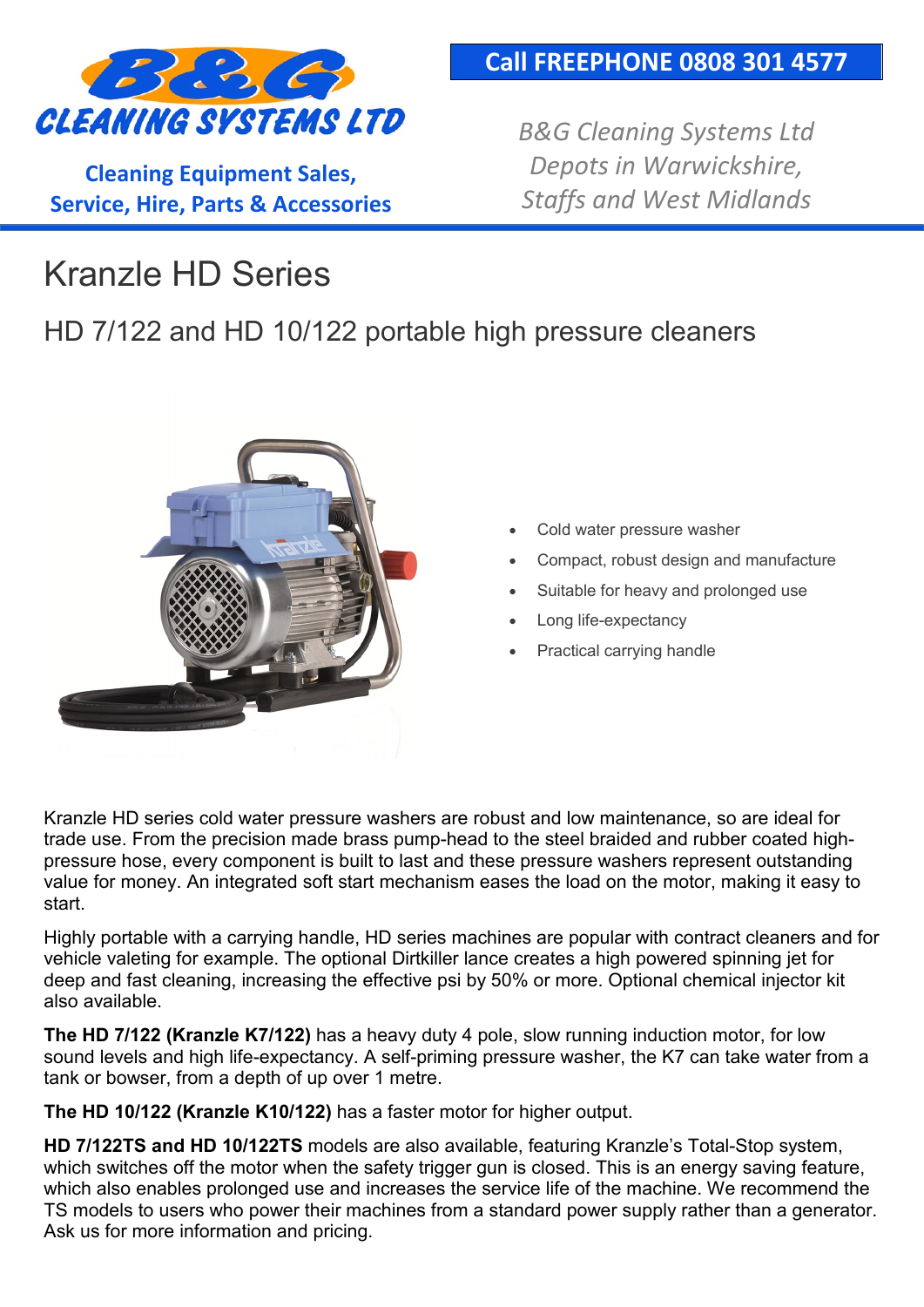

**Cleaning Equipment Sales, Service, Hire, Parts & Accessories**

#### **Call FREEPHONE 0808 301 4577**

*B&G Cleaning Systems Ltd Depots in Warwickshire, Staffs and West Midlands*

# Kranzle HD Series

### HD 7/122 and HD 10/122 portable high pressure cleaners



- Cold water pressure washer
- Compact, robust design and manufacture
- Suitable for heavy and prolonged use
- Long life-expectancy
- Practical carrying handle

Kranzle HD series cold water pressure washers are robust and low maintenance, so are ideal for trade use. From the precision made brass pump-head to the steel braided and rubber coated highpressure hose, every component is built to last and these pressure washers represent outstanding value for money. An integrated soft start mechanism eases the load on the motor, making it easy to start.

Highly portable with a carrying handle, HD series machines are popular with contract cleaners and for vehicle valeting for example. The optional Dirtkiller lance creates a high powered spinning jet for deep and fast cleaning, increasing the effective psi by 50% or more. Optional chemical injector kit also available.

**The HD 7/122 (Kranzle K7/122)** has a heavy duty 4 pole, slow running induction motor, for low sound levels and high life-expectancy. A self-priming pressure washer, the K7 can take water from a tank or bowser, from a depth of up over 1 metre.

**The HD 10/122 (Kranzle K10/122)** has a faster motor for higher output.

**HD 7/122TS and HD 10/122TS** models are also available, featuring Kranzle's Total-Stop system, which switches off the motor when the safety trigger gun is closed. This is an energy saving feature, which also enables prolonged use and increases the service life of the machine. We recommend the TS models to users who power their machines from a standard power supply rather than a generator. Ask us for more information and pricing.